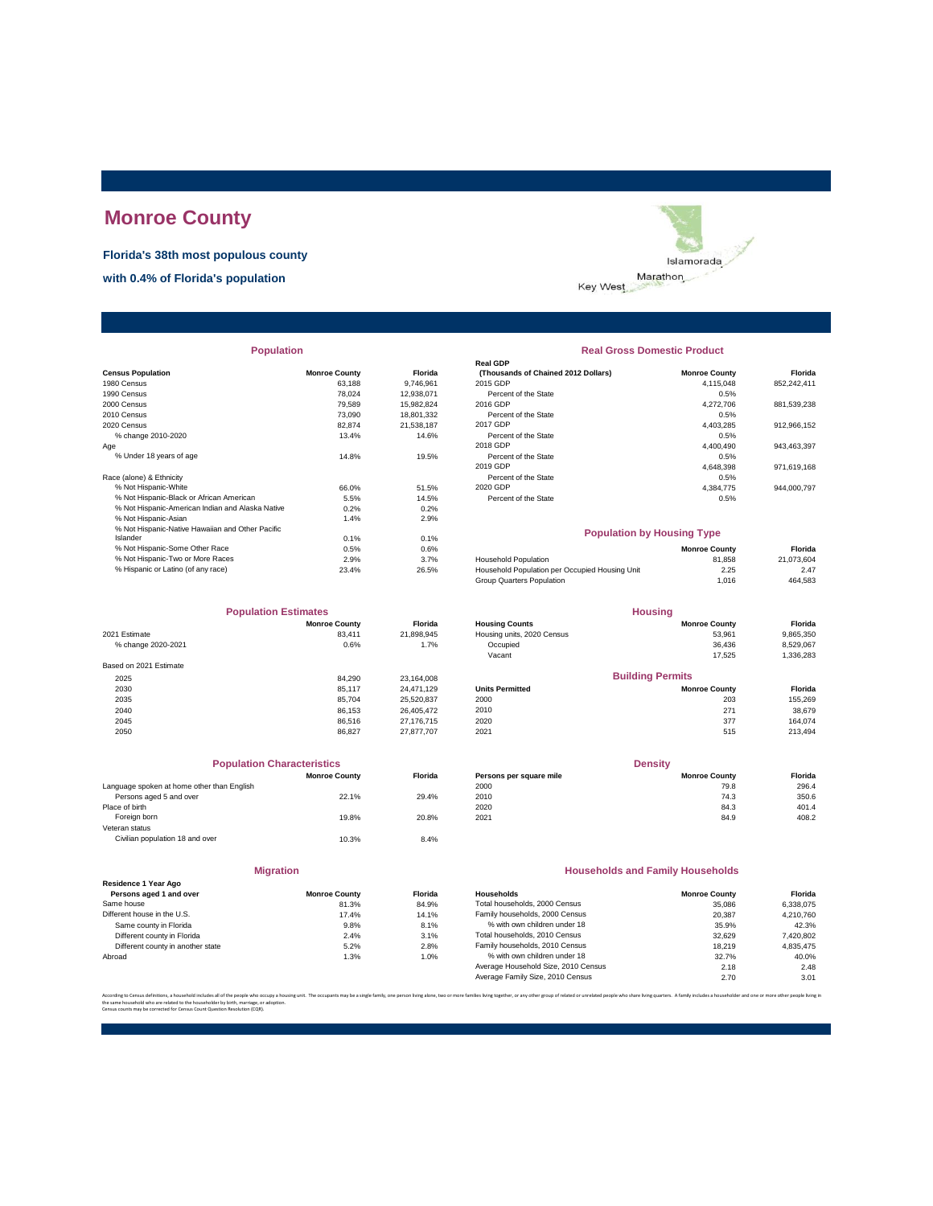# **Monroe County**

**Florida's 38th most populous county**

**with 0.4% of Florida's population**



| <b>Population</b> |  |
|-------------------|--|
|                   |  |

| <b>Census Population</b>                         | <b>Monroe County</b> | Florida    | (Thousands of Chained 2012 Dollars)            | <b>Monroe County</b> | Florida     |
|--------------------------------------------------|----------------------|------------|------------------------------------------------|----------------------|-------------|
| 1980 Census                                      | 63.188               | 9.746.961  | 2015 GDP                                       | 4,115,048            | 852,242,411 |
| 1990 Census                                      | 78.024               | 12,938,071 | Percent of the State                           | 0.5%                 |             |
| 2000 Census                                      | 79.589               | 15.982.824 | 2016 GDP                                       | 4,272,706            | 881.539.238 |
| 2010 Census                                      | 73,090               | 18,801,332 | Percent of the State                           | 0.5%                 |             |
| 2020 Census                                      | 82.874               | 21.538.187 | 2017 GDP                                       | 4,403,285            | 912,966,152 |
| % change 2010-2020                               | 13.4%                | 14.6%      | Percent of the State                           | 0.5%                 |             |
| Age                                              |                      |            | 2018 GDP                                       | 4,400,490            | 943,463,397 |
| % Under 18 years of age                          | 14.8%                | 19.5%      | Percent of the State                           | 0.5%                 |             |
|                                                  |                      |            | 2019 GDP                                       | 4,648,398            | 971,619,168 |
| Race (alone) & Ethnicity                         |                      |            | Percent of the State                           | 0.5%                 |             |
| % Not Hispanic-White                             | 66.0%                | 51.5%      | 2020 GDP                                       | 4,384,775            | 944,000,797 |
| % Not Hispanic-Black or African American         | 5.5%                 | 14.5%      | Percent of the State                           | 0.5%                 |             |
| % Not Hispanic-American Indian and Alaska Native | 0.2%                 | 0.2%       |                                                |                      |             |
| % Not Hispanic-Asian                             | 1.4%                 | 2.9%       |                                                |                      |             |
| % Not Hispanic-Native Hawaiian and Other Pacific |                      |            | <b>Population by Housing Type</b>              |                      |             |
| Islander                                         | 0.1%                 | 0.1%       |                                                |                      |             |
| % Not Hispanic-Some Other Race                   | 0.5%                 | 0.6%       |                                                | <b>Monroe County</b> | Florida     |
| % Not Hispanic-Two or More Races                 | 2.9%                 | 3.7%       | <b>Household Population</b>                    | 81.858               | 21,073,604  |
| % Hispanic or Latino (of any race)               | 23.4%                | 26.5%      | Household Population per Occupied Housing Unit | 2.25                 | 2.47        |
|                                                  |                      |            |                                                |                      |             |

| <b>Population Estimates</b> |                      |                | <b>Housing</b>             |                         |           |
|-----------------------------|----------------------|----------------|----------------------------|-------------------------|-----------|
|                             | <b>Monroe County</b> | <b>Florida</b> | <b>Housing Counts</b>      | <b>Monroe County</b>    | Florida   |
| 2021 Estimate               | 83.411               | 21,898,945     | Housing units, 2020 Census | 53,961                  | 9,865,350 |
| % change 2020-2021          | 0.6%                 | 1.7%           | Occupied                   | 36,436                  | 8,529,067 |
|                             |                      |                | Vacant                     | 17.525                  | 1,336,283 |
| Based on 2021 Estimate      |                      |                |                            |                         |           |
| 2025                        | 84.290               | 23.164.008     |                            | <b>Building Permits</b> |           |
| 2030                        | 85.117               | 24.471.129     | <b>Units Permitted</b>     | <b>Monroe County</b>    | Florida   |
| 2035                        | 85.704               | 25,520,837     | 2000                       | 203                     | 155,269   |
| 2040                        | 86.153               | 26.405.472     | 2010                       | 271                     | 38,679    |
| 2045                        | 86.516               | 27.176.715     | 2020                       | 377                     | 164.074   |
| 2050                        | 86.827               | 27.877.707     | 2021                       | 515                     | 213,494   |

| <b>Population Characteristics</b>          |                      |                |
|--------------------------------------------|----------------------|----------------|
|                                            | <b>Monroe County</b> | <b>Florida</b> |
| Language spoken at home other than English |                      |                |
| Persons aged 5 and over                    | 22.1%                | 29.4%          |
| Place of birth                             |                      |                |
| Foreign born                               | 19.8%                | 20.8%          |
| Veteran status                             |                      |                |
| Civilian population 18 and over            | 10.3%                | 8.4%           |
|                                            |                      |                |
|                                            |                      |                |

| Residence 1 Year Ago              |                      |               |
|-----------------------------------|----------------------|---------------|
| Persons aged 1 and over           | <b>Monroe County</b> | <b>Floric</b> |
| Same house                        | 81.3%                | 84.9          |
| Different house in the U.S.       | 17.4%                | 14.1'         |
| Same county in Florida            | 9.8%                 | 8.1'          |
| Different county in Florida       | 2.4%                 | 3.1'          |
| Different county in another state | 5.2%                 | 2.8           |
| Abroad                            | 1.3%                 | 1.0           |

**Migration**

| <b>Population</b> |                      |                | <b>Real Gross Domestic Product</b>  |                      |             |  |  |  |
|-------------------|----------------------|----------------|-------------------------------------|----------------------|-------------|--|--|--|
|                   |                      |                | <b>Real GDP</b>                     |                      |             |  |  |  |
|                   | <b>Monroe County</b> | <b>Florida</b> | (Thousands of Chained 2012 Dollars) | <b>Monroe County</b> | Florida     |  |  |  |
|                   | 63.188               | 9.746.961      | 2015 GDP                            | 4.115.048            | 852,242,411 |  |  |  |
|                   | 78.024               | 12.938.071     | Percent of the State                | 0.5%                 |             |  |  |  |
|                   | 79.589               | 15.982.824     | 2016 GDP                            | 4.272.706            | 881,539,238 |  |  |  |
|                   | 73,090               | 18,801,332     | Percent of the State                | 0.5%                 |             |  |  |  |
|                   | 82.874               | 21.538.187     | 2017 GDP                            | 4.403.285            | 912,966,152 |  |  |  |
|                   | 13.4%                | 14.6%          | Percent of the State                | 0.5%                 |             |  |  |  |
|                   |                      |                | 2018 GDP                            | 4.400.490            | 943,463,397 |  |  |  |
|                   | 14.8%                | 19.5%          | Percent of the State                | 0.5%                 |             |  |  |  |
|                   |                      |                | 2019 GDP                            | 4.648.398            | 971,619,168 |  |  |  |
|                   |                      |                | Percent of the State                | 0.5%                 |             |  |  |  |
|                   | 66.0%                | 51.5%          | 2020 GDP                            | 4.384.775            | 944.000.797 |  |  |  |
| n                 | 5.5%                 | 14.5%          | Percent of the State                | 0.5%                 |             |  |  |  |
| .                 |                      |                |                                     |                      |             |  |  |  |

### **Population by Housing Type**

| 0.5%  | 0.6%  |                                                | <b>Monroe County</b> | Florida    |
|-------|-------|------------------------------------------------|----------------------|------------|
| 2.9%  | 3.7%  | <b>Household Population</b>                    | 81.858               | 21.073.604 |
| 23.4% | 26.5% | Household Population per Occupied Housing Unit | 2.25                 | 2.47       |
|       |       | Group Quarters Population                      | 1.016                | 464.583    |
|       |       |                                                |                      |            |

| <b>Population Estimates</b> |                |                            | <b>Housing</b>          |           |  |
|-----------------------------|----------------|----------------------------|-------------------------|-----------|--|
| <b>Monroe County</b>        | <b>Florida</b> | <b>Housing Counts</b>      | <b>Monroe County</b>    | Florida   |  |
| 83.411                      | 21.898.945     | Housing units, 2020 Census | 53.961                  | 9,865,350 |  |
| 0.6%                        | 1.7%           | Occupied                   | 36.436                  | 8.529.067 |  |
|                             |                | Vacant                     | 17.525                  | 1,336,283 |  |
|                             |                |                            |                         |           |  |
| 84.290                      | 23.164.008     |                            | <b>Building Permits</b> |           |  |
| 85.117                      | 24.471.129     | <b>Units Permitted</b>     | <b>Monroe County</b>    | Florida   |  |
| 85.704                      | 25.520.837     | 2000                       | 203                     | 155.269   |  |
| 86.153                      | 26.405.472     | 2010                       | 271                     | 38,679    |  |
|                             |                |                            |                         |           |  |

| <b>Population Characteristics</b>          |                      |                | <b>Density</b>          |                      |         |  |
|--------------------------------------------|----------------------|----------------|-------------------------|----------------------|---------|--|
|                                            | <b>Monroe County</b> | <b>Florida</b> | Persons per square mile | <b>Monroe County</b> | Florida |  |
| Language spoken at home other than English |                      |                | 2000                    | 79.8                 | 296.4   |  |
| Persons aged 5 and over                    | 22.1%                | 29.4%          | 2010                    | 74.3                 | 350.6   |  |
| Place of birth                             |                      |                | 2020                    | 84.3                 | 401.4   |  |
| Foreign born                               | 19.8%                | 20.8%          | 2021                    | 84.9                 | 408.2   |  |

### **Households and Family Households**

| <b>Monroe County</b> | <b>Florida</b> | Households                          | <b>Monroe County</b> | Florida   |
|----------------------|----------------|-------------------------------------|----------------------|-----------|
| 81.3%                | 84.9%          | Total households, 2000 Census       | 35,086               | 6.338.075 |
| 17.4%                | 14.1%          | Family households, 2000 Census      | 20.387               | 4.210.760 |
| 9.8%                 | 8.1%           | % with own children under 18        | 35.9%                | 42.3%     |
| 2.4%                 | 3.1%           | Total households, 2010 Census       | 32.629               | 7,420,802 |
| 5.2%                 | 2.8%           | Family households, 2010 Census      | 18.219               | 4.835.475 |
| 1.3%                 | 1.0%           | % with own children under 18        | 32.7%                | 40.0%     |
|                      |                | Average Household Size, 2010 Census | 2.18                 | 2.48      |
|                      |                | Average Family Size, 2010 Census    | 2.70                 | 3.01      |
|                      |                |                                     |                      |           |

ther, or any other group of related or unrelated people who share living quarters. A family includes a householder and one or r the same household who are related to the householder by birth, marriage, or adoption. Census counts may be corrected for Census Count Question Resolution (CQR).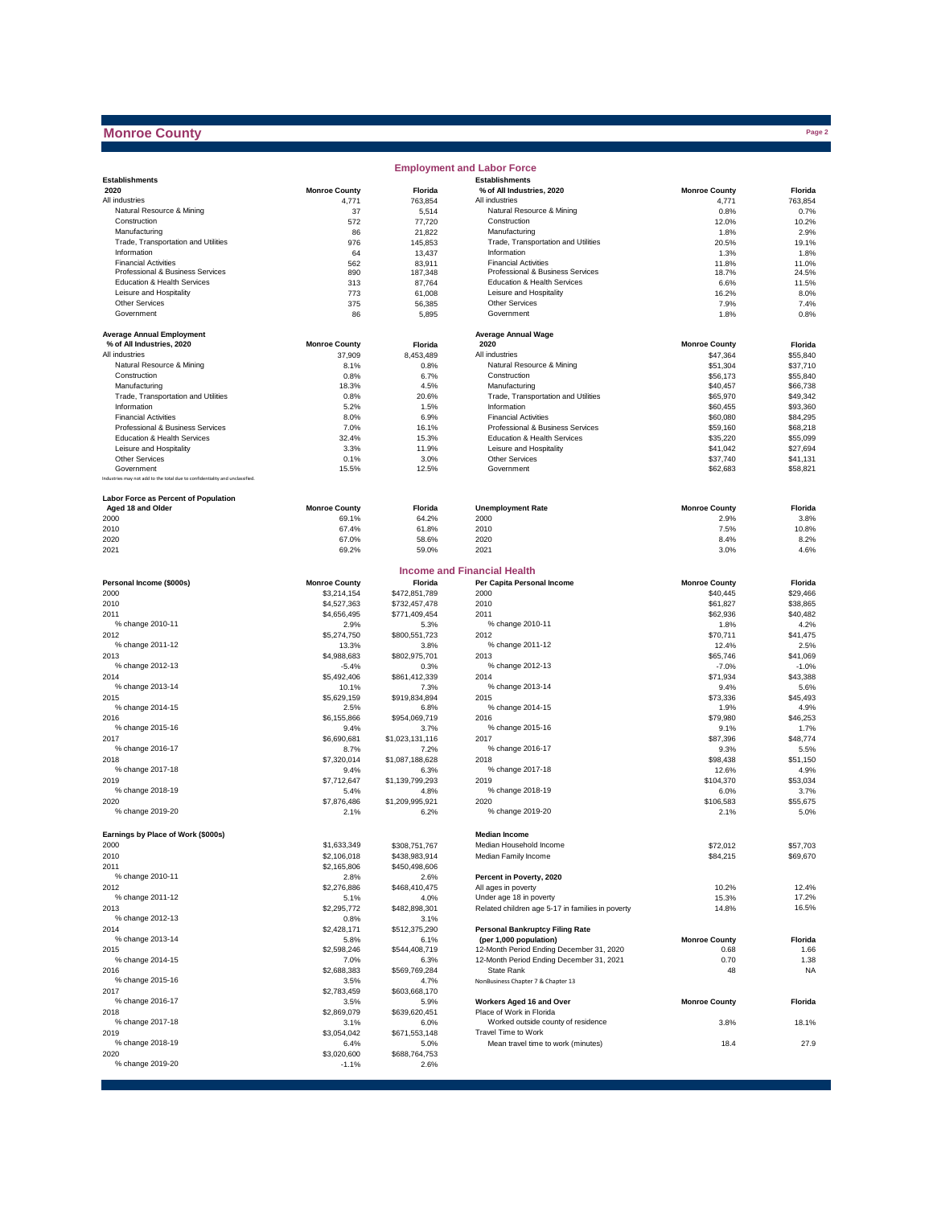## **Monroe County**

|                                                                              |                      |                   | <b>Employment and Labor Force</b>                  |                      |               |
|------------------------------------------------------------------------------|----------------------|-------------------|----------------------------------------------------|----------------------|---------------|
| <b>Establishments</b>                                                        |                      |                   | <b>Establishments</b>                              |                      |               |
| 2020                                                                         | <b>Monroe County</b> | Florida           | % of All Industries, 2020                          | <b>Monroe County</b> | Florida       |
| All industries                                                               | 4,771                | 763,854           | All industries                                     | 4,771                | 763,854       |
| Natural Resource & Mining                                                    | 37                   | 5,514             | Natural Resource & Mining                          | 0.8%                 | 0.7%          |
| Construction                                                                 | 572                  | 77,720            | Construction                                       | 12.0%                | 10.2%         |
| Manufacturing                                                                | 86                   | 21,822            | Manufacturing                                      | 1.8%                 | 2.9%          |
| Trade, Transportation and Utilities<br>Information                           | 976                  | 145,853           | Trade, Transportation and Utilities<br>Information | 20.5%                | 19.1%         |
| <b>Financial Activities</b>                                                  | 64                   | 13,437            | <b>Financial Activities</b>                        | 1.3%                 | 1.8%<br>11.0% |
| Professional & Business Services                                             | 562<br>890           | 83,911<br>187,348 | Professional & Business Services                   | 11.8%<br>18.7%       | 24.5%         |
| Education & Health Services                                                  | 313                  | 87,764            | Education & Health Services                        | 6.6%                 | 11.5%         |
| Leisure and Hospitality                                                      | 773                  | 61,008            | Leisure and Hospitality                            | 16.2%                | 8.0%          |
| <b>Other Services</b>                                                        | 375                  | 56,385            | Other Services                                     | 7.9%                 | 7.4%          |
| Government                                                                   | 86                   | 5,895             | Government                                         | 1.8%                 | 0.8%          |
|                                                                              |                      |                   |                                                    |                      |               |
| <b>Average Annual Employment</b>                                             |                      |                   | <b>Average Annual Wage</b>                         |                      |               |
| % of All Industries, 2020                                                    | <b>Monroe County</b> | Florida           | 2020                                               | <b>Monroe County</b> | Florida       |
| All industries                                                               | 37,909               | 8.453.489         | All industries                                     | \$47,364             | \$55,840      |
| Natural Resource & Mining                                                    | 8.1%                 | 0.8%              | Natural Resource & Mining                          | \$51,304             | \$37,710      |
| Construction                                                                 | 0.8%                 | 6.7%              | Construction                                       | \$56,173             | \$55,840      |
| Manufacturing                                                                | 18.3%                | 4.5%              | Manufacturing                                      | \$40,457             | \$66,738      |
| Trade, Transportation and Utilities                                          | 0.8%                 | 20.6%             | Trade, Transportation and Utilities                | \$65,970             | \$49,342      |
| Information                                                                  | 5.2%                 | 1.5%              | Information                                        | \$60,455             | \$93,360      |
| <b>Financial Activities</b>                                                  | 8.0%                 | 6.9%              | <b>Financial Activities</b>                        | \$60,080             | \$84,295      |
| Professional & Business Services                                             | 7.0%                 | 16.1%             | Professional & Business Services                   | \$59,160             | \$68,218      |
| Education & Health Services                                                  | 32.4%                | 15.3%             | Education & Health Services                        | \$35,220             | \$55,099      |
| Leisure and Hospitality                                                      | 3.3%                 | 11.9%             | Leisure and Hospitality                            | \$41,042             | \$27,694      |
| Other Services                                                               | 0.1%                 | 3.0%              | Other Services                                     | \$37,740             | \$41,131      |
| Government                                                                   | 15.5%                | 12.5%             | Government                                         | \$62,683             | \$58,821      |
| Industries may not add to the total due to confidentiality and unclassified. |                      |                   |                                                    |                      |               |
|                                                                              |                      |                   |                                                    |                      |               |
| Labor Force as Percent of Population                                         |                      |                   |                                                    |                      |               |
| Aged 18 and Older                                                            | <b>Monroe County</b> | Florida           | <b>Unemployment Rate</b>                           | <b>Monroe County</b> | Florida       |
| 2000                                                                         | 69.1%                | 64.2%             | 2000                                               | 2.9%                 | 3.8%          |
| 2010                                                                         | 67.4%                | 61.8%             | 2010                                               | 7.5%                 | 10.8%         |
| 2020                                                                         | 67.0%                | 58.6%             | 2020                                               | 8.4%                 | 8.2%          |
| 2021                                                                         | 69.2%                | 59.0%             | 2021                                               | 3.0%                 | 4.6%          |
|                                                                              |                      |                   |                                                    |                      |               |
|                                                                              |                      |                   | <b>Income and Financial Health</b>                 |                      |               |
| Personal Income (\$000s)                                                     | <b>Monroe County</b> | Florida           | Per Capita Personal Income                         | <b>Monroe County</b> | Florida       |
| 2000                                                                         | \$3,214,154          | \$472,851,789     | 2000                                               | \$40,445             | \$29.466      |
| 2010                                                                         | \$4,527,363          | \$732,457,478     | 2010                                               | \$61,827             | \$38,865      |
| 2011                                                                         | \$4,656,495          | \$771,409,454     | 2011                                               | \$62,936             | \$40,482      |
| % change 2010-11                                                             | 2.9%                 | 5.3%              | % change 2010-11                                   | 1.8%                 | 4.2%          |
| 2012                                                                         | \$5,274,750          | \$800,551,723     | 2012                                               | \$70,711             | \$41,475      |
| % change 2011-12                                                             | 13.3%                | 3.8%              | % change 2011-12                                   | 12.4%                | 2.5%          |
| 2013                                                                         | \$4,988,683          | \$802,975,701     | 2013                                               | \$65,746             | \$41,069      |
| % change 2012-13                                                             | $-5.4%$              | 0.3%              | % change 2012-13                                   | $-7.0%$              | $-1.0%$       |
| 2014                                                                         | \$5,492,406          | \$861,412,339     | 2014                                               | \$71,934             | \$43,388      |
| % change 2013-14                                                             | 10.1%                | 7.3%              | % change 2013-14                                   | 9.4%                 | 5.6%          |
| 2015                                                                         | \$5,629,159          | \$919,834,894     | 2015                                               | \$73,336             | \$45,493      |
| % change 2014-15                                                             | 2.5%                 | 6.8%              | % change 2014-15                                   | 1.9%                 | 4.9%          |
| 2016                                                                         | \$6,155,866          | \$954,069,719     | 2016                                               | \$79,980             | \$46,253      |
| % change 2015-16                                                             | 9.4%                 | 3.7%              | % change 2015-16                                   | 9.1%                 | 1.7%          |
| 2017                                                                         | \$6,690,681          | \$1,023,131,116   | 2017                                               | \$87,396             | \$48,774      |
| % change 2016-17                                                             | 8.7%                 | 7.2%              | % change 2016-17                                   | 9.3%                 | 5.5%          |
| 2018                                                                         | \$7,320,014          | \$1,087,188,628   | 2018                                               | \$98,438             | \$51,150      |
| % change 2017-18                                                             | 9.4%                 | 6.3%              | % change 2017-18                                   | 12.6%                | 4.9%          |
| 2019                                                                         | \$7,712,647          | \$1,139,799,293   | 2019                                               | \$104,370            | \$53,034      |
| % change 2018-19                                                             | 5.4%                 | 4.8%              | % change 2018-19                                   | 6.0%                 | 3.7%          |
| 2020                                                                         | \$7,876,486          | \$1,209,995,921   | 2020                                               | \$106,583            | \$55,675      |
| % change 2019-20                                                             | 2.1%                 | 6.2%              | % change 2019-20                                   | 2.1%                 | 5.0%          |
|                                                                              |                      |                   |                                                    |                      |               |
| Earnings by Place of Work (\$000s)                                           |                      |                   | <b>Median Income</b>                               |                      |               |
| 2000                                                                         | \$1,633,349          | \$308,751,767     | Median Household Income                            | \$72,012             | \$57,703      |
| 2010                                                                         | \$2,106,018          | \$438,983,914     | Median Family Income                               | \$84,215             | \$69,670      |
| 2011                                                                         | \$2,165,806          | \$450,498,606     |                                                    |                      |               |
| % change 2010-11                                                             | 2.8%                 | 2.6%              | Percent in Poverty, 2020                           |                      |               |
| 2012                                                                         | \$2,276,886          | \$468,410,475     | All ages in poverty                                | 10.2%                | 12.4%         |
| % change 2011-12                                                             | 5.1%                 | 4.0%              | Under age 18 in poverty                            | 15.3%                | 17.2%         |
| 2013                                                                         | \$2,295,772          | \$482,898,301     | Related children age 5-17 in families in poverty   | 14.8%                | 16.5%         |
| % change 2012-13                                                             | 0.8%                 | 3.1%              |                                                    |                      |               |
| 2014                                                                         | \$2,428,171          | \$512,375,290     | <b>Personal Bankruptcy Filing Rate</b>             |                      |               |
| % change 2013-14                                                             | 5.8%                 | 6.1%              | (per 1,000 population)                             | <b>Monroe County</b> | Florida       |
| 2015                                                                         | \$2,598,246          | \$544,408,719     | 12-Month Period Ending December 31, 2020           | 0.68                 | 1.66          |
| % change 2014-15                                                             | 7.0%                 | 6.3%              | 12-Month Period Ending December 31, 2021           | 0.70                 | 1.38          |
| 2016                                                                         | \$2,688,383          | \$569,769,284     | State Rank                                         | 48                   | <b>NA</b>     |
| % change 2015-16                                                             | 3.5%                 | 4.7%              | NonBusiness Chapter 7 & Chapter 13                 |                      |               |
| 2017                                                                         | \$2,783,459          | \$603,668,170     |                                                    |                      |               |
| % change 2016-17                                                             | 3.5%                 | 5.9%              | Workers Aged 16 and Over                           | <b>Monroe County</b> | Florida       |
| 2018                                                                         | \$2,869,079          | \$639,620,451     | Place of Work in Florida                           |                      |               |
| % change 2017-18                                                             | 3.1%                 | 6.0%              | Worked outside county of residence                 | 3.8%                 | 18.1%         |
| 2019                                                                         | \$3,054,042          | \$671,553,148     | Travel Time to Work                                |                      |               |
| % change 2018-19                                                             | 6.4%                 | 5.0%              | Mean travel time to work (minutes)                 | 18.4                 | 27.9          |
| 2020                                                                         | \$3,020,600          | \$688,764,753     |                                                    |                      |               |
| % change 2019-20                                                             | $-1.1%$              | 2.6%              |                                                    |                      |               |
|                                                                              |                      |                   |                                                    |                      |               |